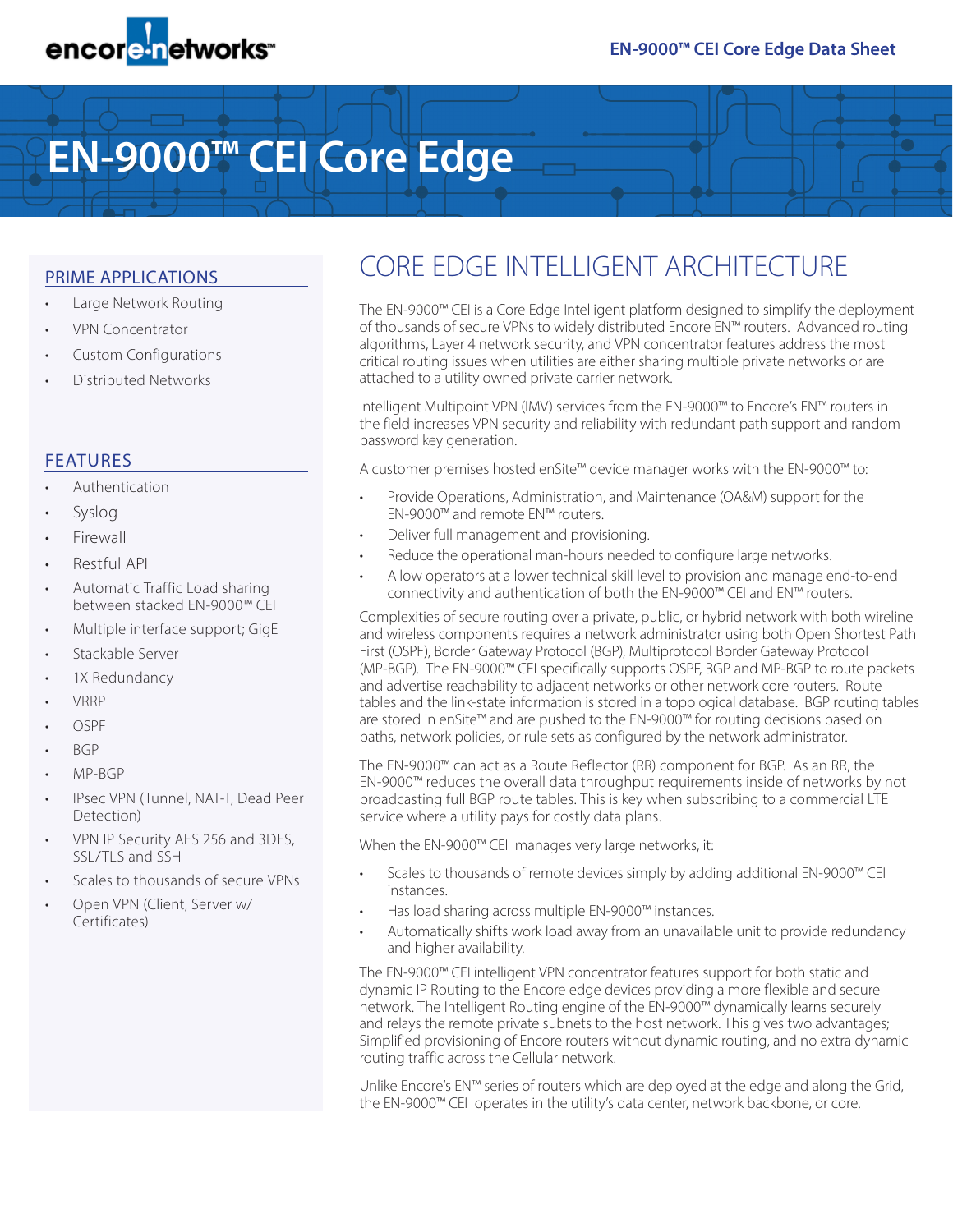

# **EN-9000™ CEI Core Edge**

#### PRIME APPLICATIONS

- Large Network Routing
- VPN Concentrator
- Custom Configurations
- Distributed Networks

### FEATURES

- Authentication
- Syslog
- **Firewall**
- Restful API
- Automatic Traffic Load sharing between stacked EN-9000™ CEI
- Multiple interface support; GigE
- Stackable Server
- 1X Redundancy
- VRRP
- OSPF
- BGP
- MP-BGP
- IPsec VPN (Tunnel, NAT-T, Dead Peer Detection)
- VPN IP Security AES 256 and 3DES, SSL/TLS and SSH
- Scales to thousands of secure VPNs
- Open VPN (Client, Server w/ Certificates)

## CORE EDGE INTELLIGENT ARCHITECTURE

The EN-9000™ CEI is a Core Edge Intelligent platform designed to simplify the deployment of thousands of secure VPNs to widely distributed Encore EN™ routers. Advanced routing algorithms, Layer 4 network security, and VPN concentrator features address the most critical routing issues when utilities are either sharing multiple private networks or are attached to a utility owned private carrier network.

Intelligent Multipoint VPN (IMV) services from the EN-9000™ to Encore's EN™ routers in the field increases VPN security and reliability with redundant path support and random password key generation.

A customer premises hosted enSite™ device manager works with the EN-9000™ to:

- Provide Operations, Administration, and Maintenance (OA&M) support for the EN-9000™ and remote EN™ routers.
- Deliver full management and provisioning.
- Reduce the operational man-hours needed to configure large networks.
- Allow operators at a lower technical skill level to provision and manage end-to-end connectivity and authentication of both the EN-9000™ CEI and EN™ routers.

Complexities of secure routing over a private, public, or hybrid network with both wireline and wireless components requires a network administrator using both Open Shortest Path First (OSPF), Border Gateway Protocol (BGP), Multiprotocol Border Gateway Protocol (MP-BGP). The EN-9000™ CEI specifically supports OSPF, BGP and MP-BGP to route packets and advertise reachability to adjacent networks or other network core routers. Route tables and the link-state information is stored in a topological database. BGP routing tables are stored in enSite™ and are pushed to the EN-9000™ for routing decisions based on paths, network policies, or rule sets as configured by the network administrator.

The EN-9000™ can act as a Route Reflector (RR) component for BGP. As an RR, the EN-9000™ reduces the overall data throughput requirements inside of networks by not broadcasting full BGP route tables. This is key when subscribing to a commercial LTE service where a utility pays for costly data plans.

When the EN-9000™ CEI manages very large networks, it:

- Scales to thousands of remote devices simply by adding additional EN-9000™ CEI instances.
- Has load sharing across multiple EN-9000™ instances.
- Automatically shifts work load away from an unavailable unit to provide redundancy and higher availability.

The EN-9000™ CEI intelligent VPN concentrator features support for both static and dynamic IP Routing to the Encore edge devices providing a more flexible and secure network. The Intelligent Routing engine of the EN-9000™ dynamically learns securely and relays the remote private subnets to the host network. This gives two advantages; Simplified provisioning of Encore routers without dynamic routing, and no extra dynamic routing traffic across the Cellular network.

Unlike Encore's EN™ series of routers which are deployed at the edge and along the Grid, the EN-9000™ CEI operates in the utility's data center, network backbone, or core.